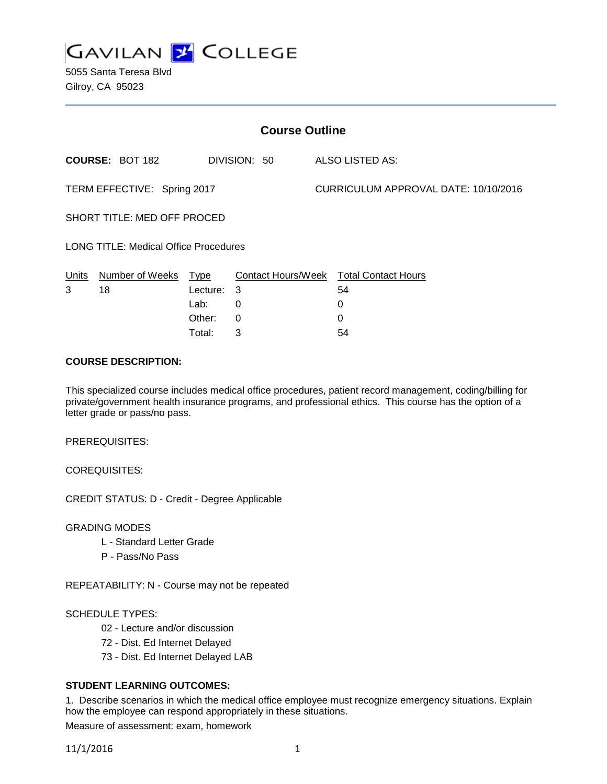

5055 Santa Teresa Blvd Gilroy, CA 95023

| <b>Course Outline</b>                        |                        |             |                    |  |                                      |  |
|----------------------------------------------|------------------------|-------------|--------------------|--|--------------------------------------|--|
|                                              | <b>COURSE: BOT 182</b> |             | DIVISION: 50       |  | ALSO LISTED AS:                      |  |
| TERM EFFECTIVE: Spring 2017                  |                        |             |                    |  | CURRICULUM APPROVAL DATE: 10/10/2016 |  |
| SHORT TITLE: MED OFF PROCED                  |                        |             |                    |  |                                      |  |
| <b>LONG TITLE: Medical Office Procedures</b> |                        |             |                    |  |                                      |  |
| Units                                        | Number of Weeks        | <b>Type</b> | Contact Hours/Week |  | <b>Total Contact Hours</b>           |  |
| 3                                            | 18                     | Lecture:    | 3                  |  | 54                                   |  |
|                                              |                        | Lab:        | 0                  |  | 0                                    |  |
|                                              |                        | Other:      | 0                  |  | 0                                    |  |

#### **COURSE DESCRIPTION:**

This specialized course includes medical office procedures, patient record management, coding/billing for private/government health insurance programs, and professional ethics. This course has the option of a letter grade or pass/no pass.

Total: 3 54

PREREQUISITES:

COREQUISITES:

CREDIT STATUS: D - Credit - Degree Applicable

GRADING MODES

- L Standard Letter Grade
- P Pass/No Pass

REPEATABILITY: N - Course may not be repeated

#### SCHEDULE TYPES:

- 02 Lecture and/or discussion
- 72 Dist. Ed Internet Delayed
- 73 Dist. Ed Internet Delayed LAB

## **STUDENT LEARNING OUTCOMES:**

1. Describe scenarios in which the medical office employee must recognize emergency situations. Explain how the employee can respond appropriately in these situations.

Measure of assessment: exam, homework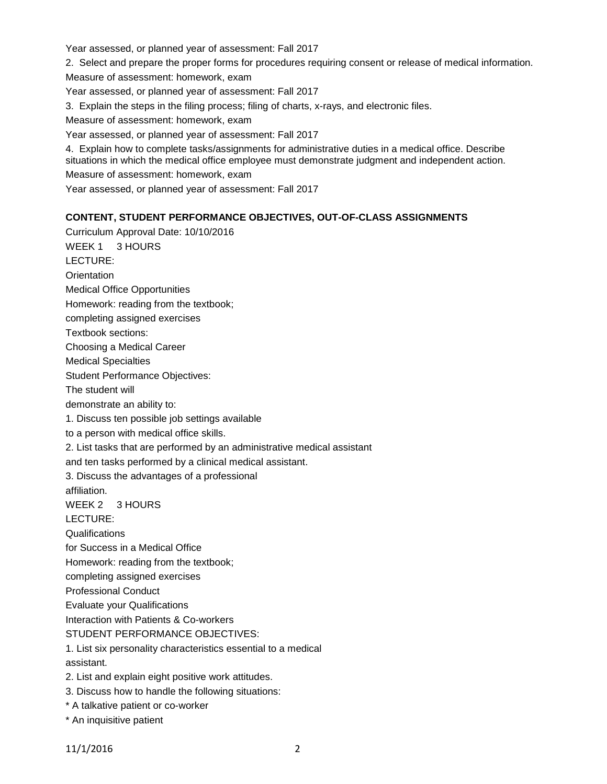Year assessed, or planned year of assessment: Fall 2017

2. Select and prepare the proper forms for procedures requiring consent or release of medical information.

Measure of assessment: homework, exam

Year assessed, or planned year of assessment: Fall 2017

3. Explain the steps in the filing process; filing of charts, x-rays, and electronic files.

Measure of assessment: homework, exam

Year assessed, or planned year of assessment: Fall 2017

4. Explain how to complete tasks/assignments for administrative duties in a medical office. Describe situations in which the medical office employee must demonstrate judgment and independent action. Measure of assessment: homework, exam

Year assessed, or planned year of assessment: Fall 2017

## **CONTENT, STUDENT PERFORMANCE OBJECTIVES, OUT-OF-CLASS ASSIGNMENTS**

Curriculum Approval Date: 10/10/2016 WEEK 1 3 HOURS LECTURE: **Orientation** Medical Office Opportunities Homework: reading from the textbook; completing assigned exercises Textbook sections: Choosing a Medical Career Medical Specialties Student Performance Objectives: The student will demonstrate an ability to: 1. Discuss ten possible job settings available to a person with medical office skills. 2. List tasks that are performed by an administrative medical assistant and ten tasks performed by a clinical medical assistant. 3. Discuss the advantages of a professional affiliation. WEEK 2 3 HOURS LECTURE: **Qualifications** for Success in a Medical Office Homework: reading from the textbook; completing assigned exercises Professional Conduct Evaluate your Qualifications Interaction with Patients & Co-workers STUDENT PERFORMANCE OBJECTIVES: 1. List six personality characteristics essential to a medical assistant. 2. List and explain eight positive work attitudes. 3. Discuss how to handle the following situations: \* A talkative patient or co-worker

\* An inquisitive patient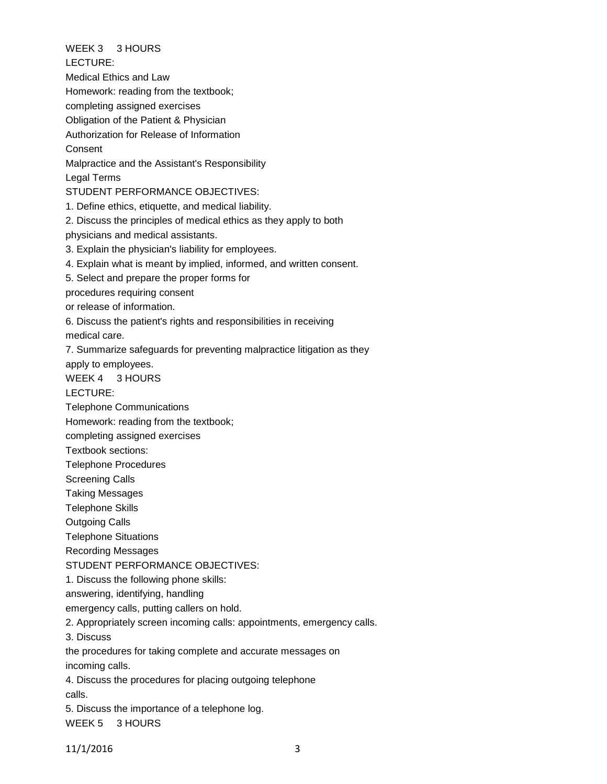WEEK 3 3 HOURS LECTURE: Medical Ethics and Law Homework: reading from the textbook; completing assigned exercises Obligation of the Patient & Physician

Authorization for Release of Information

Consent

Malpractice and the Assistant's Responsibility

Legal Terms

STUDENT PERFORMANCE OBJECTIVES:

1. Define ethics, etiquette, and medical liability.

2. Discuss the principles of medical ethics as they apply to both

physicians and medical assistants.

3. Explain the physician's liability for employees.

4. Explain what is meant by implied, informed, and written consent.

5. Select and prepare the proper forms for

procedures requiring consent

or release of information.

6. Discuss the patient's rights and responsibilities in receiving

medical care.

7. Summarize safeguards for preventing malpractice litigation as they

apply to employees.

WEEK 4 3 HOURS

LECTURE:

Telephone Communications

Homework: reading from the textbook;

completing assigned exercises

Textbook sections:

Telephone Procedures

Screening Calls

Taking Messages

Telephone Skills

Outgoing Calls

Telephone Situations

Recording Messages

STUDENT PERFORMANCE OBJECTIVES:

1. Discuss the following phone skills:

answering, identifying, handling

emergency calls, putting callers on hold.

2. Appropriately screen incoming calls: appointments, emergency calls.

3. Discuss

the procedures for taking complete and accurate messages on

incoming calls.

4. Discuss the procedures for placing outgoing telephone calls.

5. Discuss the importance of a telephone log.

WEEK 5 3 HOURS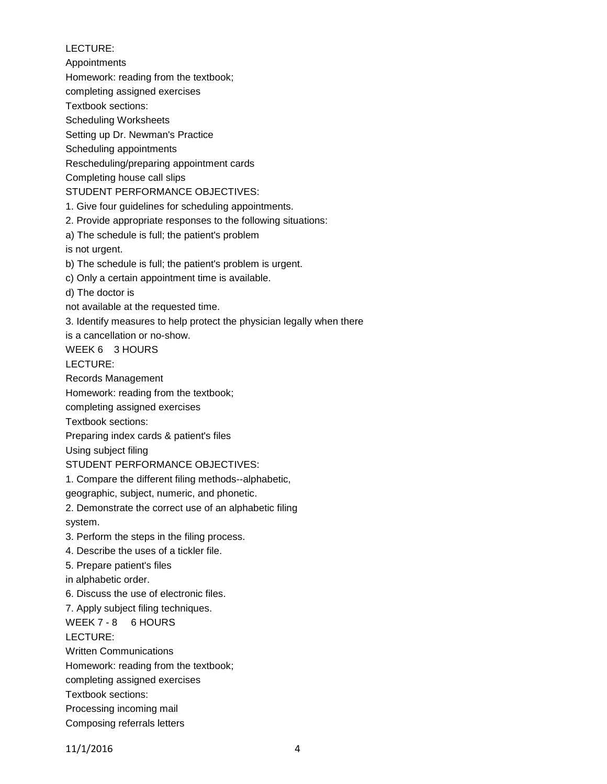LECTURE: Appointments Homework: reading from the textbook; completing assigned exercises Textbook sections: Scheduling Worksheets Setting up Dr. Newman's Practice Scheduling appointments Rescheduling/preparing appointment cards Completing house call slips STUDENT PERFORMANCE OBJECTIVES: 1. Give four guidelines for scheduling appointments. 2. Provide appropriate responses to the following situations: a) The schedule is full; the patient's problem is not urgent. b) The schedule is full; the patient's problem is urgent. c) Only a certain appointment time is available. d) The doctor is not available at the requested time. 3. Identify measures to help protect the physician legally when there is a cancellation or no-show. WEEK 6 3 HOURS LECTURE: Records Management Homework: reading from the textbook; completing assigned exercises Textbook sections: Preparing index cards & patient's files Using subject filing STUDENT PERFORMANCE OBJECTIVES: 1. Compare the different filing methods--alphabetic, geographic, subject, numeric, and phonetic. 2. Demonstrate the correct use of an alphabetic filing system. 3. Perform the steps in the filing process. 4. Describe the uses of a tickler file. 5. Prepare patient's files in alphabetic order. 6. Discuss the use of electronic files. 7. Apply subject filing techniques. WEEK 7 - 8 6 HOURS LECTURE: Written Communications Homework: reading from the textbook; completing assigned exercises Textbook sections: Processing incoming mail

Composing referrals letters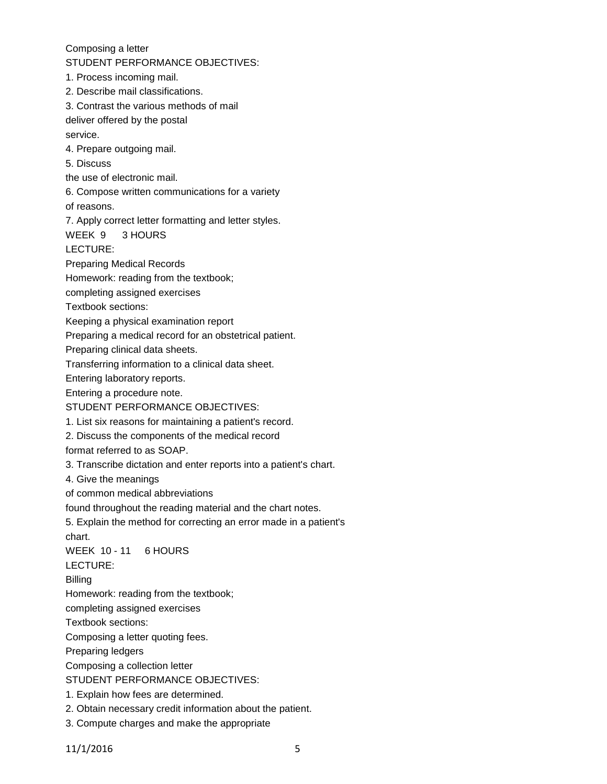Composing a letter

STUDENT PERFORMANCE OBJECTIVES:

1. Process incoming mail.

2. Describe mail classifications.

3. Contrast the various methods of mail

deliver offered by the postal

service.

4. Prepare outgoing mail.

5. Discuss

the use of electronic mail.

6. Compose written communications for a variety

of reasons.

7. Apply correct letter formatting and letter styles.

WEEK 9 3 HOURS

LECTURE:

Preparing Medical Records

Homework: reading from the textbook;

completing assigned exercises

Textbook sections:

Keeping a physical examination report

Preparing a medical record for an obstetrical patient.

Preparing clinical data sheets.

Transferring information to a clinical data sheet.

Entering laboratory reports.

Entering a procedure note.

- STUDENT PERFORMANCE OBJECTIVES:
- 1. List six reasons for maintaining a patient's record.
- 2. Discuss the components of the medical record

format referred to as SOAP.

3. Transcribe dictation and enter reports into a patient's chart.

4. Give the meanings

of common medical abbreviations

found throughout the reading material and the chart notes.

5. Explain the method for correcting an error made in a patient's

chart.

WEEK 10 - 11 6 HOURS

LECTURE:

Billing

Homework: reading from the textbook;

completing assigned exercises

Textbook sections:

Composing a letter quoting fees.

Preparing ledgers

Composing a collection letter

STUDENT PERFORMANCE OBJECTIVES:

1. Explain how fees are determined.

- 2. Obtain necessary credit information about the patient.
- 3. Compute charges and make the appropriate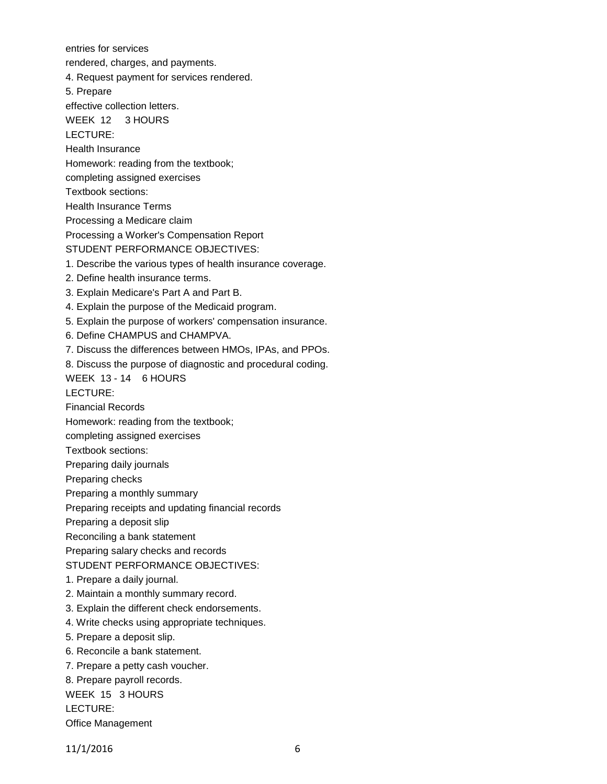entries for services rendered, charges, and payments. 4. Request payment for services rendered. 5. Prepare effective collection letters. WEEK 12 3 HOURS LECTURE: Health Insurance Homework: reading from the textbook; completing assigned exercises Textbook sections: Health Insurance Terms Processing a Medicare claim Processing a Worker's Compensation Report STUDENT PERFORMANCE OBJECTIVES: 1. Describe the various types of health insurance coverage. 2. Define health insurance terms. 3. Explain Medicare's Part A and Part B. 4. Explain the purpose of the Medicaid program. 5. Explain the purpose of workers' compensation insurance. 6. Define CHAMPUS and CHAMPVA. 7. Discuss the differences between HMOs, IPAs, and PPOs. 8. Discuss the purpose of diagnostic and procedural coding. WEEK 13 - 14 6 HOURS LECTURE: Financial Records Homework: reading from the textbook; completing assigned exercises Textbook sections: Preparing daily journals Preparing checks Preparing a monthly summary Preparing receipts and updating financial records Preparing a deposit slip Reconciling a bank statement Preparing salary checks and records STUDENT PERFORMANCE OBJECTIVES: 1. Prepare a daily journal. 2. Maintain a monthly summary record. 3. Explain the different check endorsements. 4. Write checks using appropriate techniques. 5. Prepare a deposit slip. 6. Reconcile a bank statement. 7. Prepare a petty cash voucher. 8. Prepare payroll records. WEEK 15 3 HOURS LECTURE: Office Management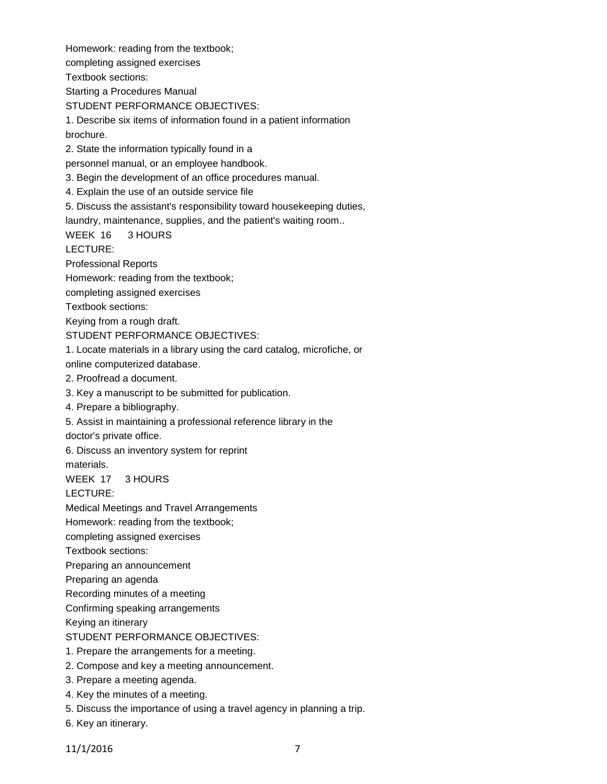Homework: reading from the textbook;

completing assigned exercises

Textbook sections:

Starting a Procedures Manual

STUDENT PERFORMANCE OBJECTIVES:

1. Describe six items of information found in a patient information brochure.

2. State the information typically found in a

personnel manual, or an employee handbook.

3. Begin the development of an office procedures manual.

4. Explain the use of an outside service file

5. Discuss the assistant's responsibility toward housekeeping duties,

laundry, maintenance, supplies, and the patient's waiting room..

WEEK 16 3 HOURS

LECTURE:

Professional Reports

Homework: reading from the textbook;

completing assigned exercises

Textbook sections:

Keying from a rough draft.

STUDENT PERFORMANCE OBJECTIVES:

1. Locate materials in a library using the card catalog, microfiche, or

online computerized database.

- 2. Proofread a document.
- 3. Key a manuscript to be submitted for publication.
- 4. Prepare a bibliography.
- 5. Assist in maintaining a professional reference library in the

doctor's private office.

6. Discuss an inventory system for reprint

materials.

# WEEK 17 3 HOURS

LECTURE:

Medical Meetings and Travel Arrangements

Homework: reading from the textbook;

completing assigned exercises

Textbook sections:

Preparing an announcement

Preparing an agenda

Recording minutes of a meeting

Confirming speaking arrangements

Keying an itinerary

STUDENT PERFORMANCE OBJECTIVES:

- 1. Prepare the arrangements for a meeting.
- 2. Compose and key a meeting announcement.
- 3. Prepare a meeting agenda.
- 4. Key the minutes of a meeting.
- 5. Discuss the importance of using a travel agency in planning a trip.
- 6. Key an itinerary.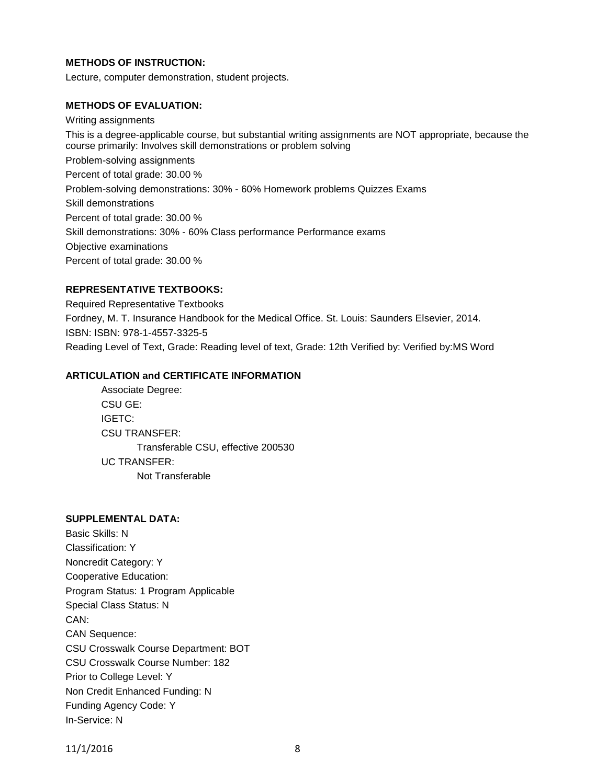## **METHODS OF INSTRUCTION:**

Lecture, computer demonstration, student projects.

#### **METHODS OF EVALUATION:**

Writing assignments This is a degree-applicable course, but substantial writing assignments are NOT appropriate, because the course primarily: Involves skill demonstrations or problem solving Problem-solving assignments Percent of total grade: 30.00 % Problem-solving demonstrations: 30% - 60% Homework problems Quizzes Exams Skill demonstrations Percent of total grade: 30.00 % Skill demonstrations: 30% - 60% Class performance Performance exams Objective examinations Percent of total grade: 30.00 %

#### **REPRESENTATIVE TEXTBOOKS:**

Required Representative Textbooks Fordney, M. T. Insurance Handbook for the Medical Office. St. Louis: Saunders Elsevier, 2014. ISBN: ISBN: 978-1-4557-3325-5 Reading Level of Text, Grade: Reading level of text, Grade: 12th Verified by: Verified by:MS Word

#### **ARTICULATION and CERTIFICATE INFORMATION**

Associate Degree: CSU GE: IGETC: CSU TRANSFER: Transferable CSU, effective 200530 UC TRANSFER: Not Transferable

# **SUPPLEMENTAL DATA:**

Basic Skills: N Classification: Y Noncredit Category: Y Cooperative Education: Program Status: 1 Program Applicable Special Class Status: N CAN: CAN Sequence: CSU Crosswalk Course Department: BOT CSU Crosswalk Course Number: 182 Prior to College Level: Y Non Credit Enhanced Funding: N Funding Agency Code: Y In-Service: N